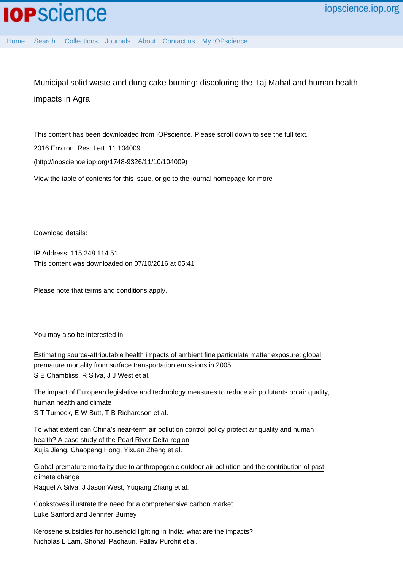Home Search Collections Journals About Contact us My IOPscience

Municipal solid waste and dung cake burning: discoloring the Taj Mahal and human health impacts in Agra

This content has been downloaded from IOPscience. Please scroll down to see the full text. 2016 Environ. Res. Lett. 11 104009 (http://iopscience.iop.org/1748-9326/11/10/104009)

View the table of contents for this issue, or go to the journal homepage for more

Download details:

IP Address: 115.248.114.51 This content was downloaded on 07/10/2016 at 05:41

Please note that terms and conditions apply.

You may also be interested in:

Estimating source-attributable health impacts of ambient fine particulate matter exposure: global premature mortality from surface transportation emissions in 2005 S E Chambliss, R Silva, J J West et al.

The impact of European legislative and technology measures to reduce air pollutants on air quality, human health and climate S T Turnock, E W Butt, T B Richardson et al.

To what extent can China's near-term air pollution control policy protect air quality and human health? A case study of the Pearl River Delta region Xujia Jiang, Chaopeng Hong, Yixuan Zheng et al.

Global premature mortality due to anthropogenic outdoor air pollution and the contribution of past climate change Raquel A Silva, J Jason West, Yuqiang Zhang et al.

Cookstoves illustrate the need for a comprehensive carbon market Luke Sanford and Jennifer Burney

Kerosene subsidies for household lighting in India: what are the impacts? Nicholas L Lam, Shonali Pachauri, Pallav Purohit et al.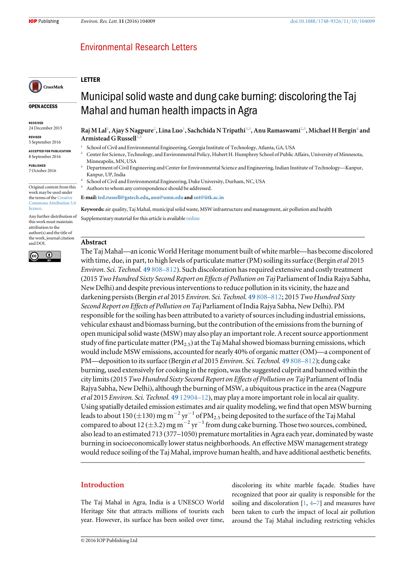# **Environmental Research Letters**

# LETTER

CrossMark

OPEN ACCESS

RECEIVED 24 December 2015

REVISED

5 September 2016

ACCEPTED FOR PUBLICATION 8 September 2016

PUBLISHED 7 October 2016

Original content from this work may be used under the terms of the Creative Commons Attribution 3.0 licence.

Any further distribution of this work must maintain attribution to the author(s) and the title of the work, journal citation and DOI.



Municipal solid waste and dung cake burning: discoloring the Taj Mahal and human health impacts in Agra

Raj M Lal<sup>1</sup>, Ajay S Nagpure<sup>2</sup>, Lina Luo<sup>1</sup>, Sachchida N Tripathi<sup>3,5</sup>, Anu Ramaswami<sup>2,5</sup>, Michael H Bergin<sup>4</sup> and Armistead G Russell<sup>1</sup>

- School of Civil and Environmental Engineering, Georgia Institute of Technology, Atlanta, GA, USA
- <sup>2</sup> Center for Science, Technology, and Environmental Policy, Hubert H. Humphrey School of Public Affairs, University of Minnesota, Minneapolis, MN, USA
- <sup>3</sup> Department of Civil Engineering and Center for Environmental Science and Engineering, Indian Institute of Technology—Kanpur, Kanpur, UP, India
- <sup>4</sup> School of Civil and Environmental Engineering, Duke University, Durham, NC, USA
- Authors to whom any correspondence should be addressed.

E-mail:ted.russell@gatech.edu, anu@umn.edu and snt@iitk.ac.in

Keywords: air quality, Taj Mahal, municipal solid waste, MSW infrastructure and management, air pollution and health Supplementary material for this article is available online

### Abstract

The Taj Mahal—an iconic World Heritage monument built of white marble—has become discolored with time, due, in part, to high levels of particulate matter (PM) soiling its surface (Bergin *et al* 2015 Environ. Sci. Technol. 49 808–812). Such discoloration has required extensive and costly treatment (2015 Two Hundred Sixty Second Report on Effects of Pollution on Taj Parliament of India Rajya Sabha, New Delhi) and despite previous interventions to reduce pollution in its vicinity, the haze and darkening persists (Bergin et al 2015 Environ. Sci. Technol. 49 808–812; 2015 Two Hundred Sixty Second Report on Effects of Pollution on Taj Parliament of India Rajya Sabha, New Delhi). PM responsible for the soiling has been attributed to a variety of sources including industrial emissions, vehicular exhaust and biomass burning, but the contribution of the emissions from the burning of open municipal solid waste (MSW) may also play an important role. A recent source apportionment study of fine particulate matter ( $PM_{2.5}$ ) at the Taj Mahal showed biomass burning emissions, which would include MSW emissions, accounted for nearly 40% of organic matter(OM)—a component of PM—deposition to its surface (Bergin et al 2015 Environ. Sci. Technol. 49 808–812); dung cake burning, used extensively for cooking in the region, was the suggested culprit and banned within the city limits(2015 Two Hundred Sixty Second Report on Effects of Pollution on Taj Parliament of India Rajya Sabha, New Delhi), although the burning of MSW, a ubiquitous practice in the area (Nagpure et al 2015 Environ. Sci. Technol. 49 12904–12), may play a more important role in local air quality. Using spatially detailed emission estimates and air quality modeling, we find that open MSW burning leads to about 150 ( $\pm$ 130) mg m<sup>-2</sup> yr<sup>-1</sup> of PM<sub>2.5</sub> being deposited to the surface of the Taj Mahal compared to about 12 ( $\pm$ 3.2) mg m<sup>-2</sup> yr<sup>-1</sup> from dung cake burning. Those two sources, combined, also lead to an estimated 713 (377–1050) premature mortalities in Agra each year, dominated by waste burning in socioeconomically lower status neighborhoods. An effective MSW management strategy would reduce soiling of the Taj Mahal, improve human health, and have additional aesthetic benefits.

# Introduction

The Taj Mahal in Agra, India is a UNESCO World Heritage Site that attracts millions of tourists each year. However, its surface has been soiled over time,

discoloring its white marble façade. Studies have recognized that poor air quality is responsible for the soiling and discoloration  $[1, 4-7]$  and measures have been taken to curb the impact of local air pollution around the Taj Mahal including restricting vehicles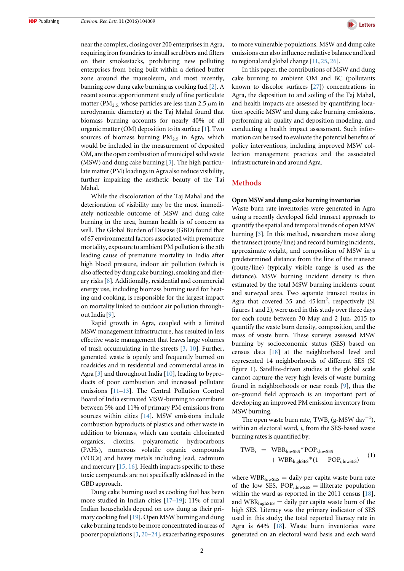near the complex, closing over 200 enterprises in Agra, requiring iron foundries to install scrubbers and filters on their smokestacks, prohibiting new polluting enterprises from being built within a defined buffer zone around the mausoleum, and most recently, banning cow dung cake burning as cooking fuel [2]. A recent source apportionment study of fine particulate matter (PM<sub>2.5,</sub> whose particles are less than 2.5  $\mu$ m in aerodynamic diameter) at the Taj Mahal found that biomass burning accounts for nearly 40% of all organic matter (OM) deposition to its surface [1]. Two sources of biomass burning  $PM_{2.5}$  in Agra, which would be included in the measurement of deposited OM, are the open combustion of municipal solid waste (MSW) and dung cake burning [3]. The high particulate matter(PM) loadings in Agra also reduce visibility, further impairing the aesthetic beauty of the Taj Mahal.

While the discoloration of the Taj Mahal and the deterioration of visibility may be the most immediately noticeable outcome of MSW and dung cake burning in the area, human health is of concern as well. The Global Burden of Disease (GBD) found that of 67 environmental factors associated with premature mortality, exposure to ambient PM pollution is the 5th leading cause of premature mortality in India after high blood pressure, indoor air pollution (which is also affected by dung cake burning), smoking and dietary risks [8]. Additionally, residential and commercial energy use, including biomass burning used for heating and cooking, is responsible for the largest impact on mortality linked to outdoor air pollution throughout India [9].

Rapid growth in Agra, coupled with a limited MSW management infrastructure, has resulted in less effective waste management that leaves large volumes of trash accumulating in the streets [3, 10]. Further, generated waste is openly and frequently burned on roadsides and in residential and commercial areas in Agra [3] and throughout India [10], leading to byproducts of poor combustion and increased pollutant emissions [11–13]. The Central Pollution Control Board of India estimated MSW-burning to contribute between 5% and 11% of primary PM emissions from sources within cities [14]. MSW emissions include combustion byproducts of plastics and other waste in addition to biomass, which can contain chlorinated organics, dioxins, polyaromatic hydrocarbons (PAHs), numerous volatile organic compounds (VOCs) and heavy metals including lead, cadmium and mercury [15, 16]. Health impacts specific to these toxic compounds are not specifically addressed in the GBD approach.

Dung cake burning used as cooking fuel has been more studied in Indian cities [17–19]; 11% of rural Indian households depend on cow dung as their primary cooking fuel [19]. Open MSW burning and dung cake burning tends to be more concentrated in areas of poorer populations[3, 20–24], exacerbating exposures to more vulnerable populations. MSW and dung cake emissions can also influence radiative balance and lead to regional and global change [11, 25, 26].

In this paper, the contributions of MSW and dung cake burning to ambient OM and BC (pollutants known to discolor surfaces [27]) concentrations in Agra, the deposition to and soiling of the Taj Mahal, and health impacts are assessed by quantifying location specific MSW and dung cake burning emissions, performing air quality and deposition modeling, and conducting a health impact assessment. Such information can be used to evaluate the potential benefits of policy interventions, including improved MSW collection management practices and the associated infrastructure in and around Agra.

# **Methods**

#### Open MSW and dung cake burning inventories

Waste burn rate inventories were generated in Agra using a recently developed field transect approach to quantify the spatial and temporal trends of open MSW burning [3]. In this method, researchers move along the transect (route/line) and record burning incidents, approximate weight, and composition of MSW in a predetermined distance from the line of the transect (route/line) (typically visible range is used as the distance). MSW burning incident density is then estimated by the total MSW burning incidents count and surveyed area. Two separate transect routes in Agra that covered  $35$  and  $45 \text{ km}^2$ , respectively (SI figures 1 and 2), were used in this study over three days for each route between 30 May and 2 Jun, 2015 to quantify the waste burn density, composition, and the mass of waste burn. These surveys assessed MSW burning by socioeconomic status (SES) based on census data [18] at the neighborhood level and represented 14 neighborhoods of different SES (SI figure 1). Satellite-driven studies at the global scale cannot capture the very high levels of waste burning found in neighborhoods or near roads [9], thus the on-ground field approach is an important part of developing an improved PM emission inventory from MSW burning.

The open waste burn rate, TWB*<sup>i</sup>* (g-MSW day−<sup>1</sup> ), within an electoral ward, *i*, from the SES-based waste burning rates is quantified by:

$$
TWB_i = WBR_{lowSES} * POP_{i,lowSES} + WBR_{highSES} * (1 - POP_{i,lowSES})
$$
 (1)

where  $WBR<sub>lowSES</sub> =$  daily per capita waste burn rate of the low SES,  $POP_{i, lowSES} =$  illiterate population within the ward as reported in the 2011 census [18], and WBR $_{\text{hichSES}}$  = daily per capita waste burn of the high SES. Literacy was the primary indicator of SES used in this study; the total reported literacy rate in Agra is 64% [18]. Waste burn inventories were generated on an electoral ward basis and each ward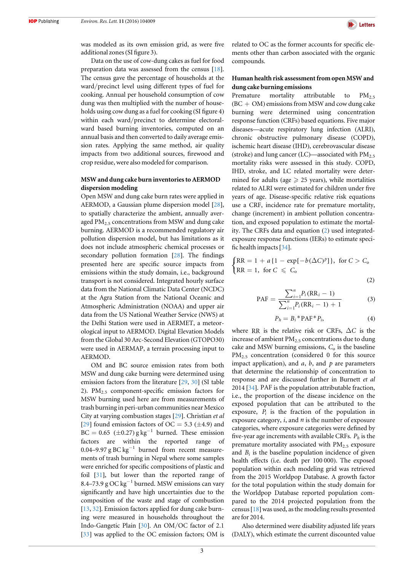

was modeled as its own emission grid, as were five additional zones(SI figure 3).

Data on the use of cow-dung cakes as fuel for food preparation data was assessed from the census [18]. The census gave the percentage of households at the ward/precinct level using different types of fuel for cooking. Annual per household consumption of cow dung was then multiplied with the number of households using cow dung as a fuel for cooking (SI figure 4) within each ward/precinct to determine electoralward based burning inventories, computed on an annual basis and then converted to daily average emission rates. Applying the same method, air quality impacts from two additional sources, firewood and crop residue, were also modeled for comparison.

### MSW and dung cake burn inventories to AERMOD dispersion modeling

Open MSW and dung cake burn rates were applied in AERMOD, a Gaussian plume dispersion model [28], to spatially characterize the ambient, annually averaged  $PM<sub>2.5</sub>$  concentrations from MSW and dung cake burning. AERMOD is a recommended regulatory air pollution dispersion model, but has limitations as it does not include atmospheric chemical processes or secondary pollution formation [28]. The findings presented here are specific source impacts from emissions within the study domain, i.e., background transport is not considered. Integrated hourly surface data from the National Climatic Data Center (NCDC) at the Agra Station from the National Oceanic and Atmospheric Administration (NOAA) and upper air data from the US National Weather Service (NWS) at the Delhi Station were used in AERMET, a meteorological input to AERMOD. Digital Elevation Models from the Global 30 Arc-Second Elevation (GTOPO30) were used in AERMAP, a terrain processing input to AERMOD.

OM and BC source emission rates from both MSW and dung cake burning were determined using emission factors from the literature [29, 30] (SI table 2).  $PM_{2.5}$  component-specific emission factors for MSW burning used here are from measurements of trash burning in peri-urban communities near Mexico City at varying combustion stages [29]. Christian et al [29] found emission factors of OC = 5.3 ( $\pm$ 4.9) and  $BC = 0.65 \ (\pm 0.27)$  g kg<sup>-1</sup> burned. These emission factors are within the reported range of 0.04–9.97 g BC kg<sup>-1</sup> burned from recent measurements of trash burning in Nepal where some samples were enriched for specific compositions of plastic and foil [31], but lower than the reported range of 8.4–73.9 g OC kg−<sup>1</sup> burned. MSW emissions can vary significantly and have high uncertainties due to the composition of the waste and stage of combustion [13, 32]. Emission factors applied for dung cake burning were measured in households throughout the Indo-Gangetic Plain [30]. An OM/OC factor of 2.1 [33] was applied to the OC emission factors; OM is related to OC as the former accounts for specific elements other than carbon associated with the organic compounds.

## Human health risk assessment from open MSW and dung cake burning emissions

Premature mortality attributable to PM<sub>2.5</sub>  $(BC + OM)$  emissions from MSW and cow dung cake burning were determined using concentration response function (CRFs) based equations. Five major diseases—acute respiratory lung infection (ALRI), chronic obstructive pulmonary disease (COPD), ischemic heart disease (IHD), cerebrovascular disease (stroke) and lung cancer (LC)—associated with  $PM_{2.5}$ mortality risks were assessed in this study. COPD, IHD, stroke, and LC related mortality were determined for adults (age  $\geq$  25 years), while mortalities related to ALRI were estimated for children under five years of age. Disease-specific relative risk equations use a CRF, incidence rate for premature mortality, change (increment) in ambient pollution concentration, and exposed population to estimate the mortality. The CRFs data and equation (2) used integratedexposure response functions (IERs) to estimate specific health impacts[34].

$$
\begin{cases}\nRR = 1 + a\{1 - \exp[-b(\Delta C)^p]\}, & \text{for } C > C_0 \\
RR = 1, & \text{for } C \leq C_0\n\end{cases}
$$
\n(2)

$$
PAF = \frac{\sum_{i=1}^{n} P_i (RR_i - 1)}{\sum_{i=1}^{n} P_i (RR_i - 1) + 1}
$$
 (3)

$$
P_h = B_i^* P A F^* P_i, \tag{4}
$$

where RR is the relative risk or CRFs,  $\Delta C$  is the increase of ambient  $PM_{2.5}$  concentrations due to dung cake and MSW burning emissions,  $C_0$  is the baseline PM<sub>2.5</sub> concentration (considered 0 for this source impact application), and *a*, *b*, and *p* are parameters that determine the relationship of concentration to response and are discussed further in Burnett et al 2014 [34]. PAF is the population attributable fraction, i.e., the proportion of the disease incidence on the exposed population that can be attributed to the exposure, *Pi* is the fraction of the population in exposure category, *i*, and *n* is the number of exposure categories, where exposure categories were defined by five-year age increments with available CRFs. *Ph* is the premature mortality associated with  $PM<sub>2.5</sub>$  exposure and  $B_i$  is the baseline population incidence of given health effects (i.e. death per 100 000). The exposed population within each modeling grid was retrieved from the 2015 Worldpop Database. A growth factor for the total population within the study domain for the Worldpop Database reported population compared to the 2014 projected population from the census  $[18]$  was used, as the modeling results presented are for 2014.

Also determined were disability adjusted life years (DALY), which estimate the current discounted value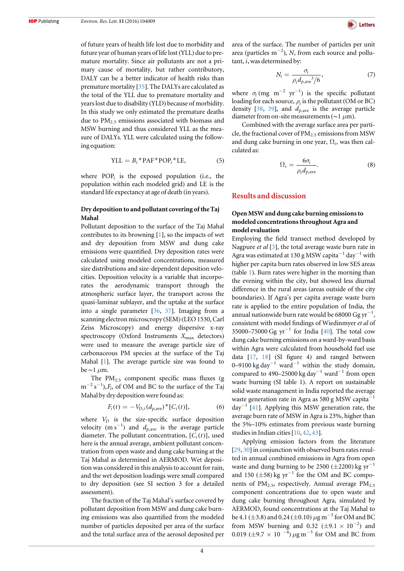of future years of health life lost due to morbidity and future year of human years of life lost(YLL) due to premature mortality. Since air pollutants are not a primary cause of mortality, but rather contributory, DALY can be a better indicator of health risks than premature mortality [35]. The DALYs are calculated as the total of the YLL due to premature mortality and years lost due to disability (YLD) because of morbidity. In this study we only estimated the premature deaths due to  $PM<sub>2.5</sub>$  emissions associated with biomass and MSW burning and thus considered YLL as the measure of DALYs. YLL were calculated using the following equation:

$$
YLL = B_i * PAF * POP_i * LE,
$$
 (5)

where  $POP_i$  is the exposed population (i.e., the population within each modeled grid) and LE is the standard life expectancy at age of death (in years).

### Dry deposition to and pollutant covering of the Taj Mahal

Pollutant deposition to the surface of the Taj Mahal contributes to its browning [1], so the impacts of wet and dry deposition from MSW and dung cake emissions were quantified. Dry deposition rates were calculated using modeled concentrations, measured size distributions and size-dependent deposition velocities. Deposition velocity is a variable that incorporates the aerodynamic transport through the atmospheric surface layer, the transport across the quasi-laminar sublayer, and the uptake at the surface into a single parameter [36, 37]. Imaging from a scanning electron microscropy (SEM) (LEO 1530, Carl Zeiss Microscopy) and energy dispersive x-ray spectroscopy (Oxford Instruments  $X_{\text{max}}$  detectors) were used to measure the average particle size of carbonaceous PM species at the surface of the Taj Mahal [1]. The average particle size was found to be∼1 μm.

The  $PM_{2.5}$  component specific mass fluxes (g m<sup>-2</sup> s<sup>-1</sup>),*F<sub>i</sub>*, of OM and BC to the surface of the Taj Mahal by dry deposition were found as:

$$
F_i(t) = -V_{D,i}(d_{p,\text{ave}})^*[C_i(t)],
$$
 (6)

where  $V_D$  is the size-specific surface deposition velocity  $(m s^{-1})$  and  $d_{p,ave}$  is the average particle diameter. The pollutant concentration,  $[C_i(t)]$ , used here is the annual average, ambient pollutant concentration from open waste and dung cake burning at the Taj Mahal as determined in AERMOD. Wet deposition was considered in this analysis to account for rain, and the wet deposition loadings were small compared to dry deposition (see SI section 3 for a detailed assessment).

The fraction of the Taj Mahal's surface covered by pollutant deposition from MSW and dung cake burning emissions was also quantified from the modeled number of particles deposited per area of the surface and the total surface area of the aerosol deposited per



area of the surface. The number of particles per unit area (particles m−<sup>2</sup> ), N, from each source and pollutant, *i*,was determined by:

$$
N_i = \frac{\sigma_i}{\rho_i d_{p,\text{ave}}^3/6},\tag{7}
$$

where  $\sigma_i$  (mg m<sup>-2</sup> yr<sup>-1</sup>) is the specific pollutant loading for each source,  $\rho_i$  is the pollutant (OM or BC) density [38, 39], and  $d_{p,ave}$  is the average particle diameter from on-site measurements(∼1 μm).

Combined with the average surface area per particle, the fractional cover of  $PM_{2.5}$  emissions from MSW and dung cake burning in one year,  $\Omega_i$ , was then calculated as:

$$
\Omega_i = \frac{6\sigma_i}{\rho_i d_{p,\text{ave}}}.\tag{8}
$$

# Results and discussion

# Open MSW and dung cake burning emissions to modeled concentrations throughout Agra and model evaluation

Employing the field transect method developed by Nagpure et al [3], the total average waste burn rate in Agra was estimated at 130 g MSW capita $^{-1}$  day $^{-1}$  with higher per capita burn rates observed in low SES areas (table 1). Burn rates were higher in the morning than the evening within the city, but showed less diurnal difference in the rural areas (areas outside of the city boundaries). If Agra's per capita average waste burn rate is applied to the entire population of India, the annual nationwide burn rate would be 68000 Gg yr−<sup>1</sup> , consistent with model findings of Wiedinmyer et al of 35000–75000 Gg yr<sup>-1</sup> for India [40]. The total cow dung cake burning emissions on a ward-by-ward basis within Agra were calculated from household fuel use data [17, 18] (SI figure 4) and ranged between 0–9100 kg day<sup>-1</sup> ward<sup>-1</sup> within the study domain, compared to 490–25000 kg day<sup>-1</sup> ward<sup>-1</sup> from open waste burning (SI table 1). A report on sustainable solid waste management in India reported the average waste generation rate in Agra as 580 g MSW capita<sup>-1</sup>  $day^{-1}$  [41]. Applying this MSW generation rate, the average burn rate of MSW in Agra is 23%, higher than the 5%–10% estimates from previous waste burning studies in Indian cities[10, 42, 43].

Applying emission factors from the literature [29, 30] in conjunction with observed burn rates resulted in annual combined emissions in Agra from open waste and dung burning to be 2500 ( $\pm$ 2200) kg yr<sup>-1</sup> and 150 ( $\pm$ 58) kg yr<sup>-1</sup> for the OM and BC components of  $PM_{2.5}$ , respectively. Annual average  $PM_{2.5}$ component concentrations due to open waste and dung cake burning throughout Agra, simulated by AERMOD, found concentrations at the Taj Mahal to be 4.1 ( $\pm$ 3.8) and 0.24 ( $\pm$ 0.10)  $\mu$ g m<sup>-3</sup> for OM and BC from MSW burning and 0.32 ( $\pm$ 9.1 × 10<sup>-2</sup>) and 0.019 ( $\pm$ 9.7 × 10<sup>-4</sup>)  $\mu$ g m<sup>-3</sup> for OM and BC from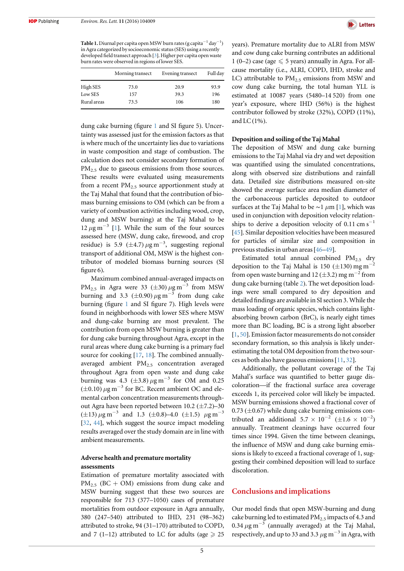**Table 1.** Diurnal per capita open MSW burn rates (g capita $^{-1}$  day $^{-1}$ ) in Agra categorized by socioeconomic status(SES) using a recently developed field transect approach [3]. Higher per capita open waste burn rates were observed in regions of lower SES.

|             | Morning transect | Evening transect | Full day |
|-------------|------------------|------------------|----------|
| High SES    | 73.0             | 20.9             | 93.9     |
| Low SES     | 157              | 39.3             | 196      |
| Rural areas | 73.5             | 106              | 180      |

dung cake burning (figure 1 and SI figure 5). Uncertainty was assessed just for the emission factors as that is where much of the uncertainty lies due to variations in waste composition and stage of combustion. The calculation does not consider secondary formation of  $PM_{2.5}$  due to gaseous emissions from those sources. These results were evaluated using measurements from a recent  $PM<sub>2.5</sub>$  source apportionment study at the Taj Mahal that found that the contribution of biomass burning emissions to OM (which can be from a variety of combustion activities including wood, crop, dung and MSW burning) at the Taj Mahal to be  $12 \mu$ g m<sup>-3</sup> [1]. While the sum of the four sources assessed here (MSW, dung cake, firewood, and crop residue) is 5.9 ( $\pm$ 4.7)  $\mu$ g m<sup>-3</sup>, suggesting regional transport of additional OM, MSW is the highest contributor of modeled biomass burning sources (SI figure 6).

Maximum combined annual-averaged impacts on PM<sub>2.5</sub> in Agra were 33 ( $\pm$ 30)  $\mu$ g m<sup>-3</sup> from MSW burning and 3.3 ( $\pm$ 0.90)  $\mu$ g m<sup>-3</sup> from dung cake burning (figure 1 and SI figure 7). High levels were found in neighborhoods with lower SES where MSW and dung-cake burning are most prevalent. The contribution from open MSW burning is greater than for dung cake burning throughout Agra, except in the rural areas where dung cake burning is a primary fuel source for cooking [17, 18]. The combined annuallyaveraged ambient PM<sub>2.5</sub> concentration averaged throughout Agra from open waste and dung cake burning was 4.3 ( $\pm$ 3.8)  $\mu$ g m<sup>-3</sup> for OM and 0.25  $(\pm 0.10) \,\mu$ g m<sup>-3</sup> for BC. Recent ambient OC and elemental carbon concentration measurements throughout Agra have been reported between  $10.2$  ( $\pm$ 7.2)–30  $(\pm 13) \mu$ g m<sup>-3</sup> and 1.3 (±0.8)–4.0 (±1.5)  $\mu$ g m<sup>-3</sup> [32, 44], which suggest the source impact modeling results averaged over the study domain are in line with ambient measurements.

## Adverse health and premature mortality assessments

Estimation of premature mortality associated with  $PM_{2.5}$  (BC + OM) emissions from dung cake and MSW burning suggest that these two sources are responsible for 713 (377–1050) cases of premature mortalities from outdoor exposure in Agra annually, 380 (247–540) attributed to IHD, 231 (98–362) attributed to stroke, 94 (31–170) attributed to COPD, and 7 (1–12) attributed to LC for adults (age  $\geq 25$ 



years). Premature mortality due to ALRI from MSW and cow dung cake burning contributes an additional 1 (0–2) case (age  $\leq 5$  years) annually in Agra. For allcause mortality (i.e., ALRI, COPD, IHD, stroke and LC) attributable to  $PM<sub>2.5</sub>$  emissions from MSW and cow dung cake burning, the total human YLL is estimated at 10087 years (5480–14 520) from one year's exposure, where IHD (56%) is the highest contributor followed by stroke (32%), COPD (11%), and LC $(1%)$ .

#### Deposition and soiling of the Taj Mahal

The deposition of MSW and dung cake burning emissions to the Taj Mahal via dry and wet deposition was quantified using the simulated concentrations, along with observed size distributions and rainfall data. Detailed size distributions measured on-site showed the average surface area median diameter of the carbonaceous particles deposited to outdoor surfaces at the Taj Mahal to be  $\sim$ 1 µm [1], which was used in conjunction with deposition velocity relationships to derive a deposition velocity of  $0.11 \text{ cm s}^{-1}$ [45]. Similar deposition velocities have been measured for particles of similar size and composition in previous studies in urban areas[46–49].

Estimated total annual combined  $PM_{2.5}$  dry deposition to the Taj Mahal is 150 ( $\pm$ 130) mg m<sup>-</sup> from open waste burning and 12 ( $\pm$ 3.2) mg m<sup>-2</sup> from dung cake burning (table 2). The wet deposition loadings were small compared to dry deposition and detailed findings are available in SI section 3. While the mass loading of organic species, which contains lightabsorbing brown carbon (BrC), is nearly eight times more than BC loading, BC is a strong light absorber [1, 50]. Emission factor measurements do not consider secondary formation, so this analysis is likely underestimating the total OM deposition from the two sources as both also have gaseous emissions[11, 32].

Additionally, the pollutant coverage of the Taj Mahal's surface was quantified to better gauge discoloration—if the fractional surface area coverage exceeds 1, its perceived color will likely be impacted. MSW burning emissions showed a fractional cover of  $0.73 \ (\pm 0.67)$  while dung cake burning emissions contributed an additional  $5.7 \times 10^{-2}$  (±1.6 × 10<sup>-2</sup>) annually. Treatment cleanings have occurred four times since 1994. Given the time between cleanings, the influence of MSW and dung cake burning emissions is likely to exceed a fractional coverage of 1, suggesting their combined deposition will lead to surface discoloration.

# Conclusions and implications

Our model finds that open MSW-burning and dung cake burning led to estimated  $PM_{2.5}$  impacts of 4.3 and 0.34  $\mu$ g m<sup>-3</sup> (annually averaged) at the Taj Mahal, respectively, and up to 33 and 3.3  $\mu$ g m<sup>-3</sup> in Agra, with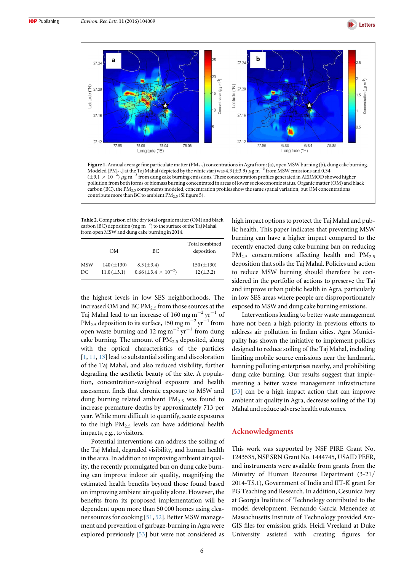



Figure 1. Annual average fine particulate matter (PM<sub>2.5</sub>) concentrations in Agra from: (a), open MSW burning (b), dung cake burning. Modeled [PM<sub>2.5</sub>] at the Taj Mahal (depicted by the white star) was 4.3 ( $\pm$ 3.9) µg m<sup>-3</sup> from MSW emissions and 0.34  $(\pm 9.1 \times 10^{-2})$  µg m<sup>-3</sup> from dung cake burning emissions. These concentration profiles generated in AERMOD showed higher pollution from both forms of biomass burning concentrated in areas of lower socioeconomic status. Organic matter(OM) and black carbon (BC), the PM<sub>2.5</sub> components modeled, concentration profiles show the same spatial variation, but OM concentrations contribute more than BC to ambient  $PM_{2.5}$  (SI figure 5).

Table 2. Comparison of the dry total organic matter (OM) and black carbon (BC) deposition (mg m−<sup>2</sup> ) to the surface of the Taj Mahal from open MSW and dung cake burning in 2014.

|     | OМ               | BC.                                | Total combined<br>deposition |
|-----|------------------|------------------------------------|------------------------------|
| MSW | $140 (\pm 130)$  | $8.3 \, (\pm 3.4)$                 | $150 (\pm 130)$              |
| DC  | $11.0 (\pm 3.1)$ | $0.66 \, (\pm 3.4 \times 10^{-2})$ | $12 (\pm 3.2)$               |

the highest levels in low SES neighborhoods. The increased OM and BC  $PM<sub>2.5</sub>$  from those sources at the Taj Mahal lead to an increase of 160 mg m<sup>-2</sup> yr<sup>-1</sup> of PM<sub>2.5</sub> deposition to its surface, 150 mg m<sup>-2</sup> yr<sup>-1</sup> from open waste burning and 12 mg m<sup>-2</sup> yr<sup>-1</sup> from dung cake burning. The amount of  $PM<sub>2.5</sub>$  deposited, along with the optical characteristics of the particles [1, 11, 13] lead to substantial soiling and discoloration of the Taj Mahal, and also reduced visibility, further degrading the aesthetic beauty of the site. A population, concentration-weighted exposure and health assessment finds that chronic exposure to MSW and dung burning related ambient  $PM<sub>2.5</sub>$  was found to increase premature deaths by approximately 713 per year. While more difficult to quantify, acute exposures to the high  $PM_{2.5}$  levels can have additional health impacts, e.g., to visitors.

Potential interventions can address the soiling of the Taj Mahal, degraded visibility, and human health in the area. In addition to improving ambient air quality, the recently promulgated ban on dung cake burning can improve indoor air quality, magnifying the estimated health benefits beyond those found based on improving ambient air quality alone. However, the benefits from its proposed implementation will be dependent upon more than 50 000 homes using cleaner sources for cooking [51, 52]. Better MSW management and prevention of garbage-burning in Agra were explored previously [53] but were not considered as high impact options to protect the Taj Mahal and public health. This paper indicates that preventing MSW burning can have a higher impact compared to the recently enacted dung cake burning ban on reducing  $PM_{2.5}$  concentrations affecting health and  $PM_{2.5}$ deposition that soils the Taj Mahal. Policies and action to reduce MSW burning should therefore be considered in the portfolio of actions to preserve the Taj and improve urban public health in Agra, particularly in low SES areas where people are disproportionately exposed to MSW and dung cake burning emissions.

Interventions leading to better waste management have not been a high priority in previous efforts to address air pollution in Indian cities. Agra Municipality has shown the initiative to implement policies designed to reduce soiling of the Taj Mahal, including limiting mobile source emissions near the landmark, banning polluting enterprises nearby, and prohibiting dung cake burning. Our results suggest that implementing a better waste management infrastructure [53] can be a high impact action that can improve ambient air quality in Agra, decrease soiling of the Taj Mahal and reduce adverse health outcomes.

# Acknowledgments

This work was supported by NSF PIRE Grant No. 1243535, NSF SRN Grant No. 1444745, USAID PEER, and instruments were available from grants from the Ministry of Human Recourse Department (3-21/ 2014-TS.1), Government of India and IIT-K grant for PG Teaching and Research. In addition, Cesunica Ivey at Georgia Institute of Technology contributed to the model development. Fernando Garcia Menendez at Massachusetts Institute of Technology provided Arc-GIS files for emission grids. Heidi Vreeland at Duke University assisted with creating figures for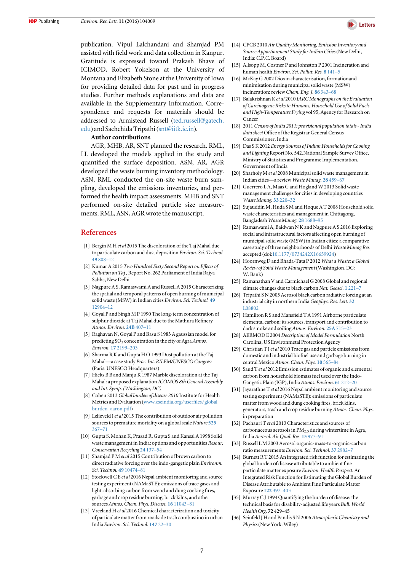publication. Vipul Lalchandani and Shamjad PM assisted with field work and data collection in Kanpur. Gratitude is expressed toward Prakash Bhave of ICIMOD, Robert Yokelson at the University of Montana and Elizabeth Stone at the University of Iowa for providing detailed data for past and in progress studies. Further methods explanations and data are available in the Supplementary Information. Correspondence and requests for materials should be addressed to Armistead Russell (ted.russell@gatech. edu) and Sachchida Tripathi (snt@iitk.ic.in).

#### Author contributions

AGR, MHB, AR, SNT planned the research. RML, LL developed the models applied in the study and quantified the surface deposition. ASN, AR, AGR developed the waste burning inventory methodology. ASN, RML conducted the on-site waste burn sampling, developed the emissions inventories, and performed the health impact assessments. MHB and SNT performed on-site detailed particle size measurements. RML, ASN, AGR wrote the manuscript.

### References

- [1] Bergin M H et al 2015 The discoloration of the Taj Mahal due to particulate carbon and dust deposition Environ. Sci. Technol. 49 808–12
- [2] Kumar A 2015 Two Hundred Sixty Second Report on Effects of Pollution on Taj , Report No. 262 Parliament of India Rajya Sabha, New Delhi
- [3] Nagpure A S, Ramaswami A and Russell A 2015 Characterizing the spatial and temporal patterns of open burning of municipal solid waste (MSW) in Indian cities Environ. Sci. Technol. 49 12904–12
- [4] Goyal P and Singh M P 1990 The long-term concentration of sulphur dioxide at Taj Mahal due to the Mathura Refinery Atmos. Environ. 24B 407–11
- [5] Raghavan N, Goyal P and Basu S 1983 A gaussian model for predicting  $SO_2$  concentration in the city of Agra Atmos. Environ. 17 2199–203
- [6] Sharma R K and Gupta H O 1993 Dust pollution at the Taj Mahal—a case study Proc. Int. RILEM/UNESCO Congress (Paris: UNESCO Headquarters)
- [7] Hicks B B and Manju K 1987 Marble discoloration at the Taj Mahal: a proposed explanation ICOMOS 8th General Assembly and Int. Symp. (Washington, DC)
- [8] Cohen 2013 Global burden of disease 2010 Institute for Health Metrics and Evaluation (www.cseindia.org/userfiles/global\_ burden\_aaron.pdf)
- [9] Lelieveld J et al 2015 The contribution of outdoor air pollution sources to premature mortality on a global scale Nature 525 367–71
- [10] Gupta S, Mohan K, Prasad R, Gupta S and Kansal A 1998 Solid waste management in India: options and opportunities Resour. Conservation Recycling 24 137–54
- [11] Shamjad P M et al 2015 Contribution of brown carbon to direct radiative forcing over the indo-gangetic plain Environm. Sci. Technol. 49 10474–81
- [12] Stockwell C E et al 2016 Nepal ambient monitoring and source testing experiment (NAMaSTE): emissions of trace gases and light-absorbing carbon from wood and dung cooking fires, garbage and crop residue burning, brick kilns, and other sources Atmos. Chem. Phys. Discuss. 16 11043-81
- [13] Vreeland H et al 2016 Chemical characterization and toxicity of particulate matter from roadside trash combustino in urban India Environ. Sci. Technol. 147 22–30



- [14] CPCB 2010 Air Quality Monitoring, Emission Inventory and Source Apportionment Study for Indian Cities (New Delhi, India: C.P.C. Board)
- [15] Allsopp M, Costner P and Johnston P 2001 Incineration and human health Environ. Sci. Pollut. Res. 8 141–5
- [16] McKay G 2002 Dioxin characterisation, formationand minimisation during municipal solid waste (MSW) incineration: reviewChem. Eng. J. 86 343–68
- [17] Balakrishnan K et al 2010 IARC Monographs on the Evaluation of Carcinogenic Risks to Humans, Household Use of Solid Fuels and High-Temperature Frying vol 95, Agency for Research on Cancer
- [18] 2011 Census of India 2011: provisional population totals India data sheet Office of the Registrar General Census Commissioner, India
- [19] Das S K 2012 Energy Sources of Indian Households for Cooking and Lighting Report No. 542,National Sample Survey Office, Ministry of Statistics and Programme Implementation, Government of India
- [20] Sharholy M et al 2008 Municipal solid waste management in Indian cities—a review Waste Manag. 28 459–67
- [21] Guerrero L A, Maas G and Hogland W 2013 Solid waste management challenges for cities in developing countries Waste Manag. 33 220–32
- [22] Sujauddin M, Huda S M and Hoque A T 2008 Household solid waste characteristics and management in Chittagong, Bangladesh Waste Manag. 28 1688–95
- [23] Ramaswami A, Baidwan N K and Nagpure A S 2016 Exploring social and infrastructural factors affecting open burning of municipal solid waste (MSW) in Indian cities: a comparative case study of three neighborhoods of Delhi Waste Manag Res. accepted (doi:10.1177/0734242X16659924)
- [24] Hoornweg D and Bhada-Tata P 2012 What a Waste: a Global Review of Solid Waste Management(Washington, DC: W. Bank)
- [25] Ramanathan V and Carmichael G 2008 Global and regional climate changes due to black carbon Nat. Geosci. 1 221–7
- [26] Tripathi S N 2005 Aerosol black carbon radiative forcing at an industrial city in northern India Geophys. Res. Lett. 32 L08802
- [27] Hamilton R S and Mansfield T A 1991 Airborne particulate elemental carbon: its sources, transport and contribution to dark smoke and soiling Atmos. Environ. 25A 715–23
- [28] AERMOD E 2004 Description of Model Formulation North Carolina, US Environmetal Protection Agency
- [29] Christian T J et al 2010 Trace gas and particle emissions from domestic and industrial biofuel use and garbage burning in central Mexico Atmos. Chem. Phys. 10 565–84
- [30] Saud T et al 2012 Emission estimates of organic and elemental carbon from household biomass fuel used over the Indo-Gangetic Plain (IGP), India Atmos. Environ. 61 212–20
- [31] Jayarathne T et al 2016 Nepal ambient monitoring and source testing experiment (NAMaSTE): emissions of particulate matter from wood and dung cooking fires, brick kilns, generators, trash and crop residue burning Atmos. Chem. Phys. in preparation
- [32] Pachauri T et al 2013 Characteristics and sources of carbonaceous aerosols in  $PM<sub>2.5</sub>$  during wintertime in Agra, India Aerosol. Air Qual. Res. 13 977–91
- [33] Russell L M 2003 Aerosol organic-mass-to-organic-carbon ratio measurements Environ. Sci. Technol. 37 2982–7
- [34] Burnett R T 2015 An integrated risk function for estimating the global burden of disease attributable to ambient fine particulate matter exposure Environ. Health Perspect. An Integrated Risk Function for Estimating the Global Burden of Disease Attributable to Ambient Fine Particulate Matter Exposure 122 397–403
- [35] Murray C J 1994 Quantifying the burden of disease: the technical basis for disability-adjusted life years Bull. World Health Org. 72 429–45
- [36] Seinfeld J H and Pandis S N 2006 Atmospheric Chemistry and Physics(New York: Wiley)